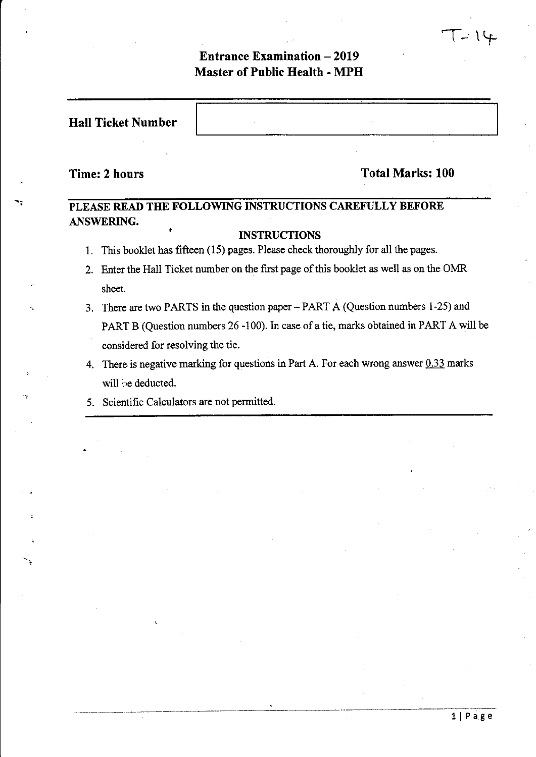# **Entrance Examination - 2019 Master of Public Health - MPH**

# **Time: 2 hours** Total Marks: 100

 $T-14$ 

# **PLEASE READ THE FOLLOWING INSTRUCTIONS CAREFULLY BEFORE ANSWERING.**

# **INSTRUCTIONS**

- 1. This booklet has fifteen (15) pages. Please check thoroughly for all the pages.
- 2. Enter the Hall Ticket number on the first page of this booklet as well as on the OMR sheet.
- '. 3. There are two PARTS in the question paper- PART A (Question numbers 1-25) and PART B (Question numbers 26-100). In case of a tie, marks obtained in PART A will be considered for resolving the tie.
- 4. There is negative marking for questions in Part A. For each wrong answer  $0.33$  marks will he deducted.
- 5. Scientific Calculators are not permitted.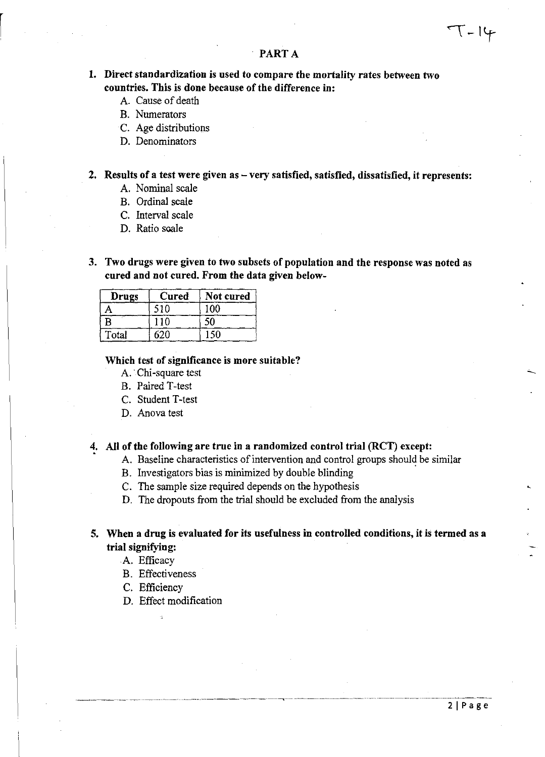# PART A

# 1. Direct standardization is used to compare the mortality rates between two countries. This is done because of the difference in:

- A. Cause of death
- B. Numerators
- C. Age distributions
- D. Denominators

2. Results of a test were given as – very satisfied, satisfied, dissatisfied, it represents:

- A. Nominal scale
- B. Ordinal scale
- C. Interval scale
- D. Ratio scale
- 3. Two drugs were given to two subsets of population and the response was noted as cured and not cured. From the data given below-

| Drugs | Cured | Not cured |  |  |
|-------|-------|-----------|--|--|
|       | ና1በ   |           |  |  |
| B     |       |           |  |  |
| Total | ናንበ   |           |  |  |

#### Which test of significance is more suitable?

- A. Chi-square test
- B. Paired T-test
- C. Student T-test
- D. Anova test

# 4. All of the following are true in a randomized control trial (RCT) except:

- A. Baseline characteristics of intervention and control groups should be similar
- B. Investigators bias is minimized by double blinding
- C. The sample size required depends on the hypothesis
- D. The dropouts from the trial should be excluded from the analysis

# 5. When a drug is evaluated for its usefulness in controlled conditions, it is termed as a trial signifying:

A. Efficacy

- B. Effectiveness
- C. Efficiency
- D. Effect modification

 $T-14$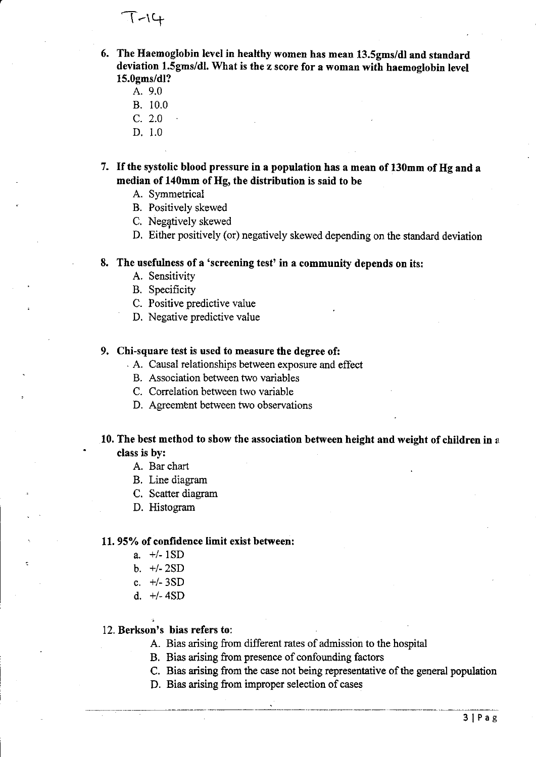$T - 14$ 

6. The Haemoglobin level in healthy women has mean 13.5gms/dl and standard deviation 1.5gms/dl. What is the z score for a woman with haemoglobin level 15.0gms/dl?

- A. 9.0
- B. 10.0
- C. 2.0
- D. 1.0

7. If the systolic blood pressure in a population has a mean of 130mm of Hg and a median of 140mm of Hg, the distribution is said to be

- A. Symmetrical
- B. Positively skewed
- C. Negatively skewed
- D. Either positively (or) negatively skewed depending on the standard deviation

### 8. The usefulness of a 'screening test' in a community depends on its:

- A. Sensitivity
- B. Specificity

C. Positive predictive value

D. Negative predictive value

# 9. Chi-square test is used to measure the degree of:

- . A. Causal relationships between exposure and effect
	- B. Association between two variables
	- C. Correlation between two variable
	- D. Agreement between two observations

# 10. The best method to show the association between height and weight of children in  $\alpha$ class is by:

- A. Bar chart
- B. Line diagram
- C. Scatter diagram
- D. Histogram

#### 11. 95% of confidence limit exist between:

- a. *+1-* 1SD
- b. *+1-* 2SD
- c. +/- 3SD
- d. *+1-4SD*

# 12. Berkson's bias refers to:

- A. Bias arising from different rates of admission to the hospital
- B. Bias arising from presence of confounding factors
- C. Bias arising from the case not being representative of the general population
- D. Bias arising from improper selection of cases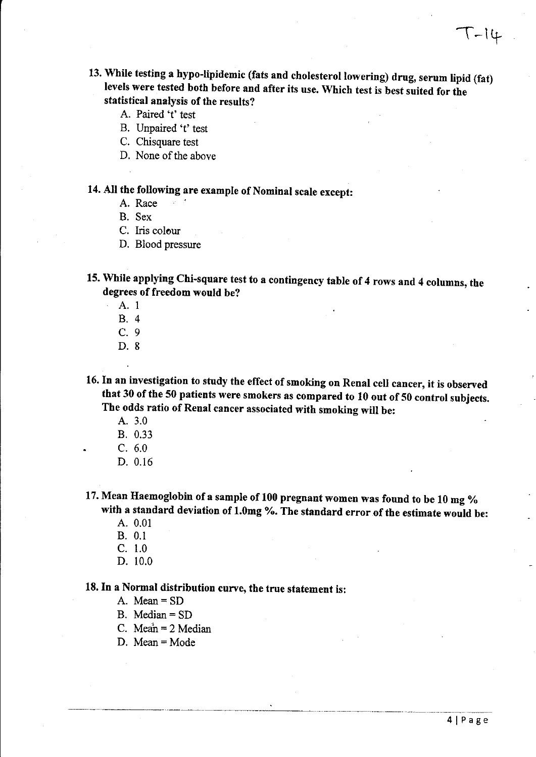- 13. While testing a hypo-lipidemic (fats and cholesterol lowering) drug, serum lipid (fat) levels were tested both before and after its use. Which test is best suited for the statistical analysis of the results?
	- A. Paired 't' test
	- B. Unpaired 't' test
	- C. Chisquare test
	- D. None of the above

# 14. All the following are example of Nominal scale except:

- A. Race
- B. Sex
- C. Iris colour
- D. Blood pressure

15. While applying Chi-square test to a contingency table of 4 rows and 4 columns, the degrees of freedom would be?

- A.I
- B. 4
- C. 9
- D. 8

16. In an investigation to study the effect of smoking on Renal cell cancer, it is observed that 30 of the 50 patients were smokers as compared to 10 out of 50 control subjects. The odds ratio of Renal cancer associated with smoking will be:

- A.3.0
- B. 0.33
- C. 6.0
- D. 0.16

17. Mean Haemoglobin of a sample of 100 pregnant women was found to be 10 mg  $%$ with a standard deviation of 1.0mg %. The standard error of the estimate would be:

- A.  $0.01$
- B. 0.1
- C. 1.0
- D. 10.0

18. In a Normal distribution curve, the true statement is:

---------\_.\_-------- "-------'----'--------------"-.. ,-.-~-.----"'"--.

- A. Mean = SD
- B. Median = SD
- C. Mean =  $2$  Median
- D. Mean = Mode

 $T-14$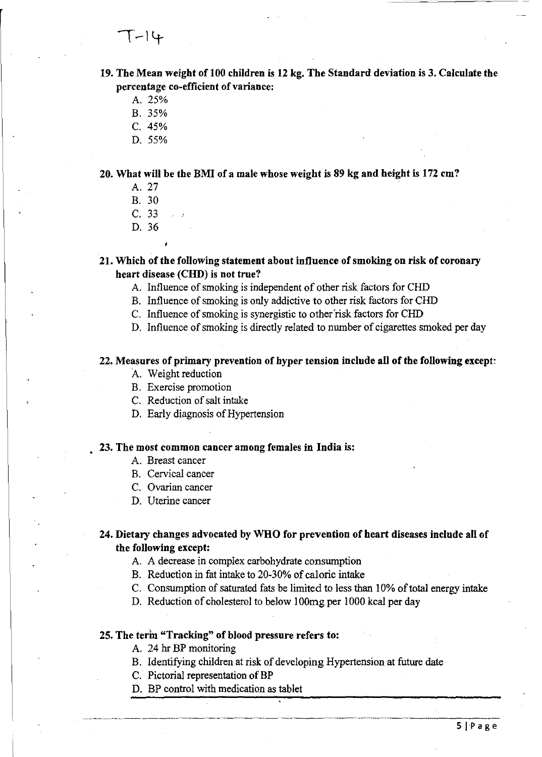19. The Mean weight of 100 children is 12 kg. The Standard deviation is 3. Calculate the percentage co-efficient of variance:

- A. 25%
- B. 35%
- C.45%
- D.55%

20. What will be the BMI of a male whose weight is 89 kg and height is 172 em?

- A.27
- B. 30
- C. 33
- D. 36

21. Which of the following statement about influence of smoking on risk of coronary heart disease (CHD) is not true?

- A. Influence of smoking is independent of other risk factors for CHD
- B. Influence of smoking is only addictive to other risk factors for CHD
- C. Influence of smoking is synergistic to other 'risk factors for CHD
- D. Influence of smoking is directly related to number of cigarettes smoked per day

# 22. Measures of primary prevention of hyper tension include all of the following except:

- A. Weight reduction
- B. Exercise promotion
- C. Reduction of salt intake
- D. Early diagnosis of Hypertension

# 23. The most common cancer among females in India is:

- A. Breast cancer
- B. Cervical cancer
- C. Ovarian cancer
- D. Uterine cancer

# 24. Dietary changes advocated by WHO for prevention of heart diseases include all of the following except:

- A. A decrease in complex carbohydrate consumption
- B. Reduction in fat intake to 20-30% of caloric intake
- C. Consumption of saturated fats be limited to less than 10% of total energy intake
- D. Reduction of cholesterol to below 100mg per 1000 kcal per day

# 25. The term "Tracking" of blood pressure refers to:

- A. 24 hr BP monitoring
- B. Identifying children at risk of developing Hypertension at future date

--~~-~~-~---~~--"""----~---""-"- ~----""-~- ~"---~ .. -----~~~~:---

- C. Pictorial representation of BP
- D. BP control with medication as tablet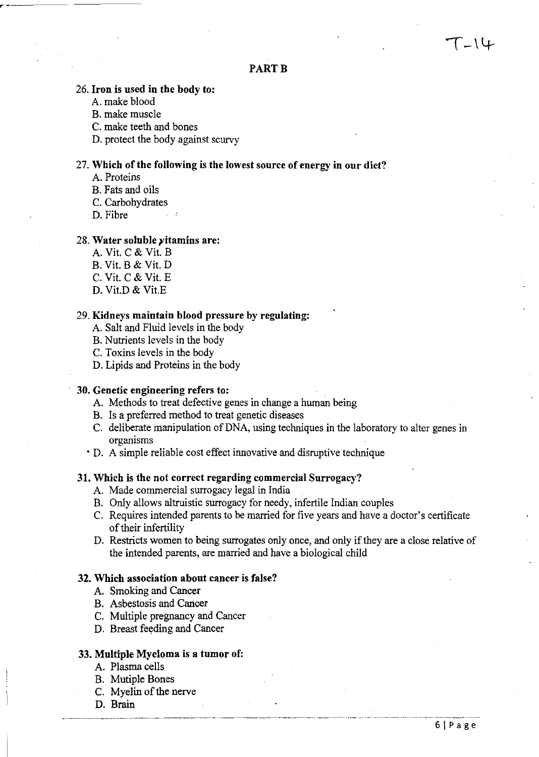# **PART B**

# 26. **Iron is used in the body to:**

A. make blood

~---------~ ~----------

- B. make muscle
- C. make teeth and bones
- D. protect the body against scurvy

# 27. Which of the following is the lowest source of energy in our diet?

- A. Proteins
- B. Fats and oils
- C. Carbohydrates
- D. Fibre

#### 28. **Water soluble }'itamins are:**

- A. Vit.  $C$  & Vit.  $B$ B. Vit. B & Vit. D  $C.$  Vit.  $C &$  Vit.  $E$
- D. Vit.D & Vit.E

#### 29. **Kidneys maintain blood pressure by regulating:**

- A. Salt and Fluid levels in the body
- B. Nutrients levels in the body
- C. Toxins levels in the body
- D. Lipids and Proteins in the body

# **30. Genetic engineering refers to:**

- A. Methods to treat defective genes in change a human being
- B. Is a preferred method to treat genetic diseases
- C. deliberate manipulation of DNA, using techniques in the laboratory to alter genes in organisms
- D. A simple reliable cost effect innovative and disruptive technique

# **31. Which is the not correct regarding commercial Surrogacy?**

- A. Made commercial surrogacy legal in India
- B. Only allows altruistic surrogacy for needy, infertile Indian couples
- C. Requires intended parents to be married for five years and have a doctor's certificate of their infertility
- D. Restricts women to being surrogates only once, and only if they are a close relative of the intended parents, are married and have a biological child

# **32. Which association about cancer is false?**

- A. Smoking and Cancer
- B. Asbestosis and Cancer
- C. Multiple pregnancy and Cancer
- D. Breast feeding and Cancer

# **33. Multiple Myeloma is a tumor of:**

- A. Plasma cells
- B. Mutiple Bones
- C. Myelin of the nerve
- D. Brain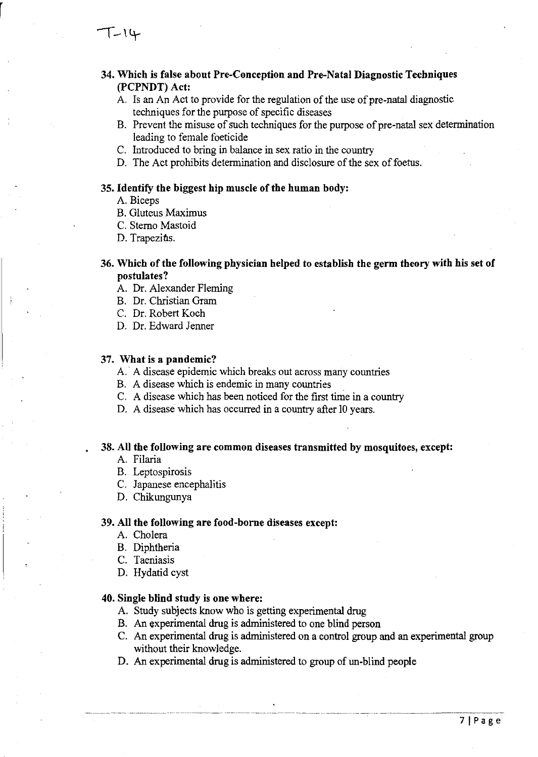$T-14$ 

r

# 34. Which is false about Pre-Conception and Pre-Natal Diagnostic Techniques (PCPNDT) Act:

- A. Is an An Act to provide for the regulation of the use of pre-natal diagnostic techniques for the purpose of specific diseases
- B. Prevent the misuse of such techniques for the purpose of pre-natal sex determination leading to female foeticide
- C. Introduced to bring in balance in sex ratio in the country
- D. The Act prohibits determination and disclosure of the sex of foetus.

# 35. Identify the biggest hip muscle of the human body:

- A. Biceps
- B. Gluteus Maximus
- C. Sterno Mastoid
- D. Trapezitis.

# 36. Which of the following physician helped to establish the germ theory with his set of postulates?

- A. Dr. Alexander Fleming
- B. Dr. Christian Gram
- C. Dr. Robert Koch
- D. Dr. Edward Jenner

#### 37. What is a pandemic?

- A.' A disease epidemic which breaks out across many countries
- B. A disease which is endemic in many countries
- C. A disease which has been noticed for the first time in a country
- D. A disease which has occurred in a country after 10 years.

### 38. All the following are common diseases transmitted by mosquitoes, except:

- A. Filaria
- B. Leptospirosis
- C. Japanese encephalitis
- D. Chikungunya

#### 39. All the following are food-borne diseases except:

- A. Cholera
- B. Diphtheria
- C. Taeniasis
- D. Hydatid cyst

# 40. Single blind study is one where:

- A. Study subjects know who is getting experimental drug
- B. An experimental drug is administered to one blind person
- C. An experimental drug is administered on a control group and an experimental group without their knowledge.
- D. An experimental drug is administered to group of un-blind people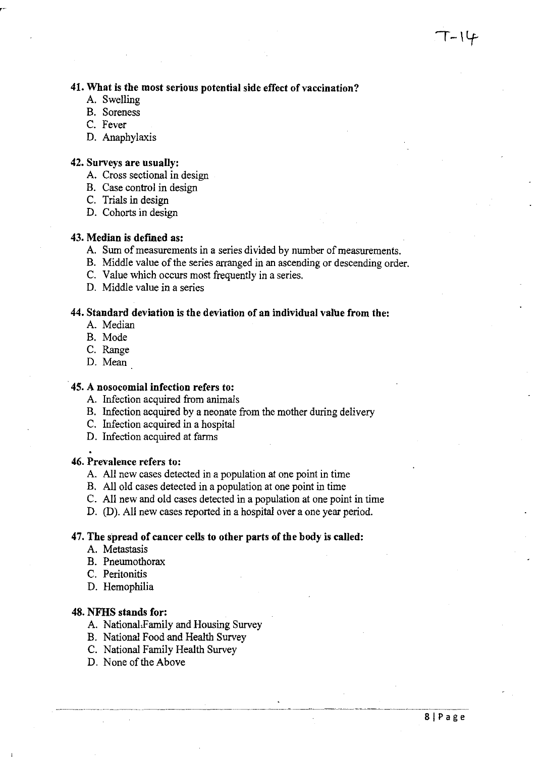# 41. What is the most serious potential side effect of vaccination?

- A. Swelling
- B. Soreness
- C. Fever
- D. Anaphylaxis

# 42. Surveys are usually:

- A. Cross sectional in design
- B. Case control in design
- C. Trials in design
- D. Cohorts in design

# 43. Median is defined as:

- A. Sum of measurements in a series divided by number of measurements.
- B. Middle value of the series arranged in an ascending or descending order.
- C. Value which occurs most frequently in a series.
- D. Middle value in a series

# 44. Standard deviation is the deviation of an individual value from the:

- A. Median
- B. Mode
- C. Range
- D. Mean

#### <sup>&</sup>lt;45. A nosocomial infection refers to:

- A. Infection acquired from animals
- B. Infection acquired by a neonate from the mother during delivery
- C. Infection acquired in a hospital
- D. Infection acquired at farms

### 46. Prevalence refers to:

- A. All new cases detected in a population at one point in time
- B. All old cases detected in a population at one point in time
- C. All new and old cases detected in a population at one point in time
- D. (D). All new cases reported in a hospital over a one year period.

### 47. The spread of cancer cells to other parts of the body is called:

- A. Metastasis
- B. Pneumothorax
- C. Peritonitis
- D. Hemophilia

#### 48. NFHS stands for:

- A. National,Family and Housing Survey
- B. National Food and Health Survey
- C. National Family Health Survey
- D. None of the Above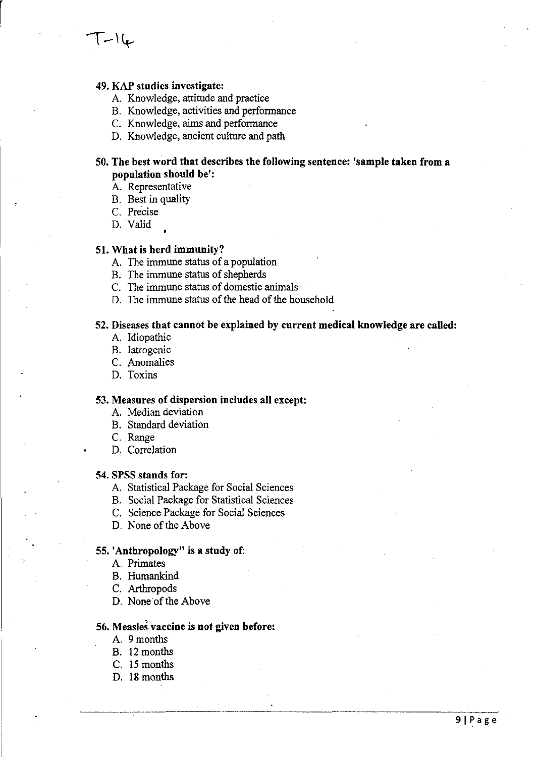- A. Knowledge, attitude and practice
- B. Knowledge, activities and perfonnance
- C. Knowledge, *aims* and perfonnance
- D. Knowledge, ancient culture and path

# 50. The best word that describes the following sentence: 'sample taken from a population should be':

A. Representative

- B. Best in quality
- C. Precise

D. Valid

 $T-16$ 

# 51. What is herd immunity?

- A. The immune status of a population
- B. The immune status of shepherds
- C. The immune status of domestic animals
- D. The immune status of the head of the household

# 52. Diseases that cannot be explained by current medical knowledge are called:

- A. Idiopathic
- B. Iatrogenic
- C. Anomalies
- D. Toxins

# 53. Measures of dispersion includes all except:

- A. Median deviation
- B. Standard deviation
- C. Range
- D. Correlation

# 54. SPSS stands for:

- A. Statistical Package for Social Sciences
- B. Social Package for Statistical Sciences
- C. Science Package for Social Sciences
- D. None of the Above

#### 55. 'Anthropology" is a study of:

- A. Primates
- B. Humankind
- C. Arthropods
- D. None of the Above

# 56. Measles vaccine is not given before:

- A. 9months
- B. 12 months
- C. 15 months
- D. 18 months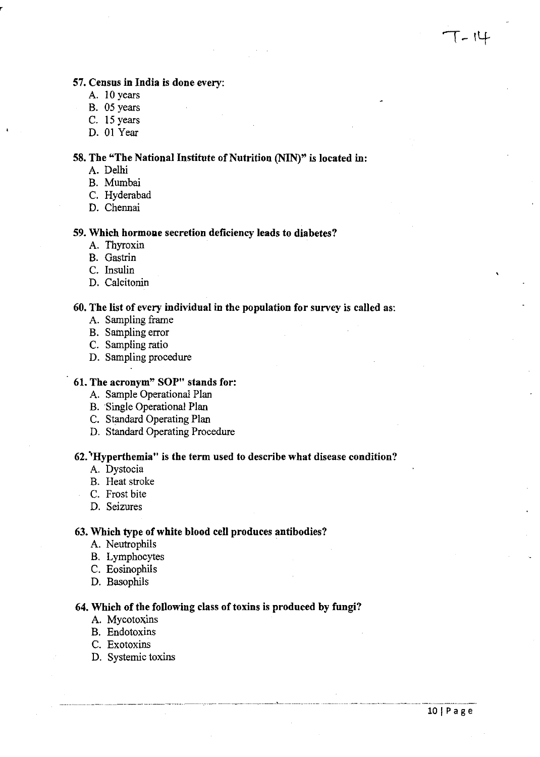# 57. Census in India is done every:

- A. 10 years
- B. 05 years
- C. 15 years
- D. 01 Year

# 58. The "The National Institute of Nutrition (NIN)" is located in:

- A. Delhi
- B. Mumbai
- C. Hyderabad
- D. Chennai

# 59. Which hormone secretion deficiency leads to diabetes?

- A. Thyroxin
- B. Gastrin
- C. Insulin
- D. Calcitonin

# 60. The list of every individual in the population for survey is called as:

- A. Sampling frame
- B. Sampling error
- C. Sampling ratio
- D. Sampling procedure

# 61. The acronym" SOP" stands for:

- A. Sample Operational Plan
- B. Single Operational Plan
- C. Standard Operating Plan
- D. Standard Operating Procedure

# 62. 'Hyperthemia" is the term used to describe what disease condition?

- A. Dystocia
- B. Heat stroke
- C. Frost bite
- D. Seizures

#### 63. Which type of white blood cell produces antibodies?

- A. Neutrophils
- B. Lymphocytes
- C. Eosinophils
- D. Basophils

#### 64. Which of the following class of toxins is produced by fungi?

- A. Mycotoxins
- B. Endotoxins
- C. Exotoxins
- D. Systemic toxins

T - 14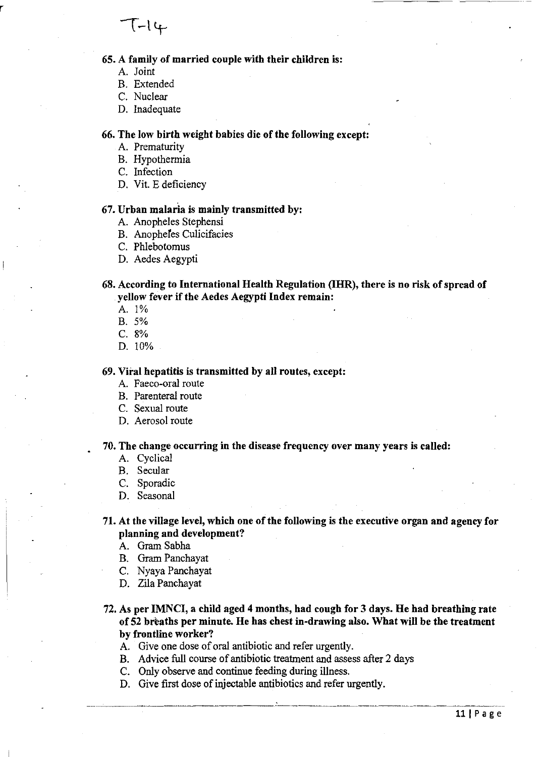

# 65. A family of married couple with their children is:

- A. Joint
- B. Extended
- C. Nuclear
- D. Inadequate

### 66. The low birth weight babies die of the following except:

- A. Prematurity
- B. Hypothermia
- C. Infection
- D. Vit. E deficiency

# 67. Urban malaria is mainly transmitted by:

- A. Anopheles Stephensi
- B. Anopheles Culicifacies
- C. Phlebotomus
- D. Aedes Aegypti

# 68. According to International Health Regulation (IHR), there is no risk of spread of yellow fever if the Aedes Aegypti Index remain:

A. 1%

B. 5%

C.8%

D. 10%

#### 69. Viral hepatitis is transmitted by all routes, except:

- A. Faeco-oral route
- B. Parenteral route
- C. Sexual route
- D. Aerosol route

#### 70. The change occurring in the disease frequency over many years is called:

- A. Cyclical
- B. Secular
- C. Sporadic
- D. Seasonal

# 71. At the village level, which one of the following is the executive organ and agency for planning and development?

- A. Gram Sabha
- B. Gram Panchayat
- C. Nyaya Panchayat
- D. Zila Panchayat

---.~- .~~-

- 72. As per IMNCI, a child aged 4 months, had cough for 3 days. He had breathing rate of 52 breaths per minute. He has chest in-drawing also. What will be the treatment by frontline worker?
	- A. Give one dose of oral antibiotic and refer urgently.
	- B. Advice full course of antibiotic treatment and assess after 2 days
	- C. Only observe and continue feeding during illness.
	- D. Give first dose of injectable antibiotics and refer urgently.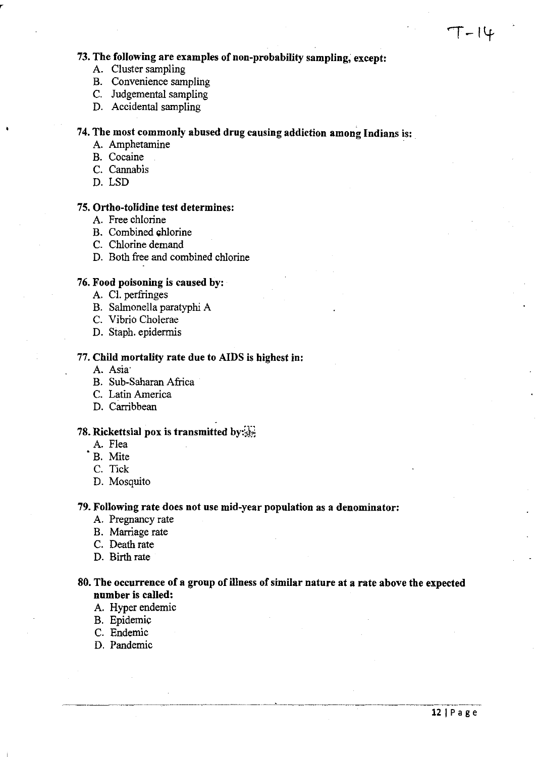# 73. The following are examples of non-probability sampling; except:

- A. Cluster sampling
- B. Convenience sampling
- C. Judgemental sampling
- D. Accidental sampling

# 74. The most commonly abused drug causing addiction among Indians is: .

- A. Amphetamine
- B. Cocaine
- C. Cannabis
- D. LSD

# 75. Ortho-tolidine test determines:

- A. Free chlorine
- B. Combined chlorine
- C. Chlorine demand
- D. Both free and combined chlorine

# 76. Food poisoning is caused by:

- A. Cl. perfringes
- B. Salmonella paratyphi A
- C. Vibrio Cholerae
- D. Staph. epidermis

# 77. Child mortality rate due to AIDS is highest in:

- A. Asia'
- B. Sub-Saharan Africa
- C. Latin America
- D. Carribbean

# 78. Rickettsial pox is transmitted by: $_{\rm SFR}^{(1)}$

- A. Flea
- B. Mite
- C. Tick
- D. Mosquito

# 79. Following rate does not use mid-year population as a denominator:

- A. Pregnancy rate
- B. Marriage rate
- C. Death rate
- D. Birth rate

# 80. The occurrence of a group of illness of similar nature at a rate above the expected number is called:

- A. Hyper endemic
- B. Epidemic
- C. Endemic
- D. Pandemic

 $\mathsf{T}-\mathsf{I}\mathsf{L}$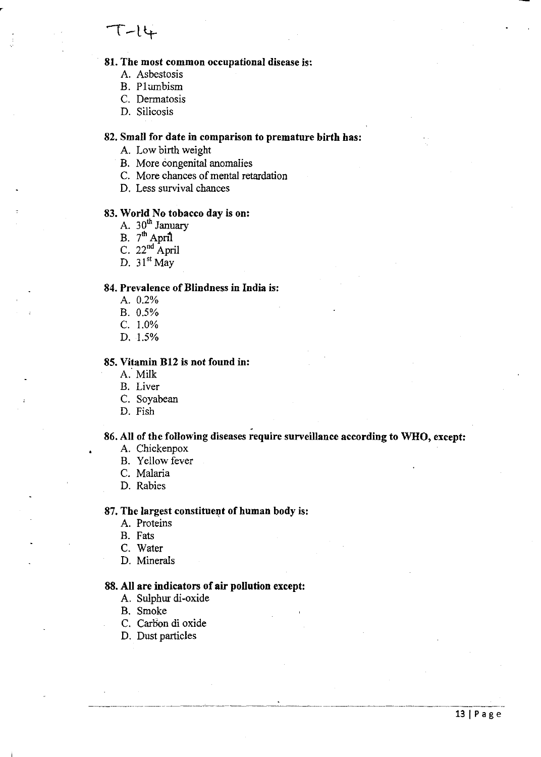# 81. The most common occupational disease is:

- A. Asbestosis
- B. Plumbism

C. Dermatosis

D. Silicosis

# 82. Small for date in comparison to premature birth has:

- A. Low birth weight
- B. More congenital anomalies
- C. More chances of mental retardation
- D. Less survival chances

#### 83. World No tobacco day is on:

- A.  $30<sup>th</sup>$  January
- B.  $7<sup>th</sup>$  April
- C.  $22<sup>nd</sup>$  April
- D.  $31<sup>st</sup>$  May

#### 84. Prevalence of Blindness in India is:

- A. 0.2%
- B. 0.5%
- C. 1.0%
- D. 1.5%

# 85. Vitamin Bt2 is not found in:

- A: Milk
- B. Liver
- C. Soyabean
- D. Fish

# . 86. All of the following diseases require surveillance according to WHO, except:

- A. Chickenpox
- B. Yellow fever
- C. Malaria
- D. Rabies

#### 87. The largest constituent of human body is:

- A. Proteins
- B. Fats
- C. Water
- D. Minerals

#### 88. All are indicators of air pollution except:

- A. Sulphur di-oxide
- B. Smoke
- C. Carbon di oxide
- D. Dust particles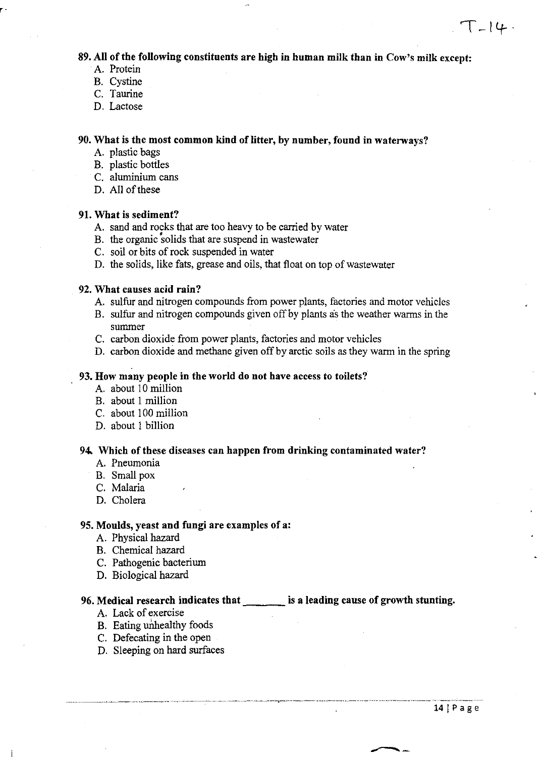# $T=14.4$

# 89. All of the following constituents are high in human milk than in Cow's milk except:

A. Protein

r'

- B. Cystine
- C. Taurine
- D. Lactose

# 90. What is the most common kind of litter, by number, found in waterways?

- A. plastic bags
- B. plastic bottles
- C. aluminium cans
- D. All of these

#### 91. What is sediment?

- A. sand and rocks that are too heavy to be carried by water
- B. the organic 'solids that are suspend in wastewater
- C. soil or bits of rock suspended in water
- D. the solids, like fats, grease and oils, that float on top of wastewater

# 92. What causes acid rain?

- A. sulfur and nitrogen compounds from power plants, factories and motor vehicles
- B. sulfur and nitrogen compounds given off by plants as the weather warms in the summer
- C. carbon dioxide from power plants, factories and motor vehicles
- D. carbon dioxide and methane given off by arctic soils as they warm in the spring

# 93. How many people in the world do not have access to toilets?

- A. about 10 million
- B. about 1 million
- C. about 100 million
- D. about 1 billion

#### 94. Which of these diseases can happen from drinking contaminated water?

- A. Pneumonia
- B. Small pox
- C. Malaria
- D. Cholera

# 95. Moulds, yeast and fungi are examples of a:

- A. Physical hazard
- B. Chemical hazard
- C. Pathogenic bacterium
- D. Biological hazard

# 96. Medical research indicates that indical state is a leading cause of growth stunting.

- A. Lack of exercise
- B. Eating unhealthy foods
- C. Defecating in the open
- D. Sleeping on hard surfaces

----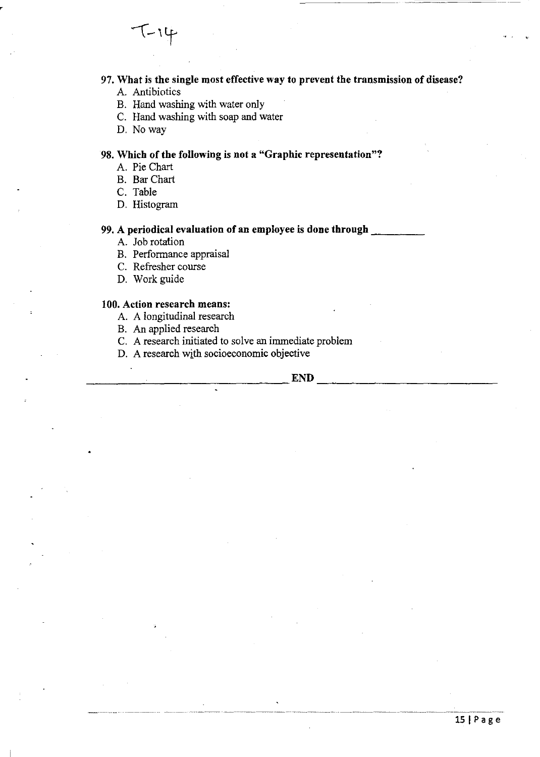97. What is the single most effective way to prevent the transmission of disease? A. Antibiotics

 $T-14$ 

- B. Hand washing with water only
- C. Hand washing with soap and water
- D. Noway

# 98. Which of the following is not a "Graphic representation"?

- A. Pie Chart
- B. BarChart
- C. Table
- D. Histogram

# 99. A periodical evaluation of an employee is done through

- A. Job rotation
- B. Performance appraisal
- C. Refresher course
- D. Work guide

### 100. Action research means:

- A. A longitudinal research
- B. An applied research
- C. A research initiated to solve an immediate problem
- D. A research with socioeconomic objective

 $\Gamma$  . The contract of the contract of  $\Gamma$  is  $\Gamma$  . The contract of  $\Gamma$  is  $\Gamma$  . The contract of  $\Gamma$  is  $\Gamma$  is  $\Gamma$  is  $\Gamma$  is  $\Gamma$  is  $\Gamma$  is  $\Gamma$  is  $\Gamma$  is  $\Gamma$  is  $\Gamma$  is  $\Gamma$  is  $\Gamma$  is  $\Gamma$  is  $\Gamma$  is  $\Gamma$  is